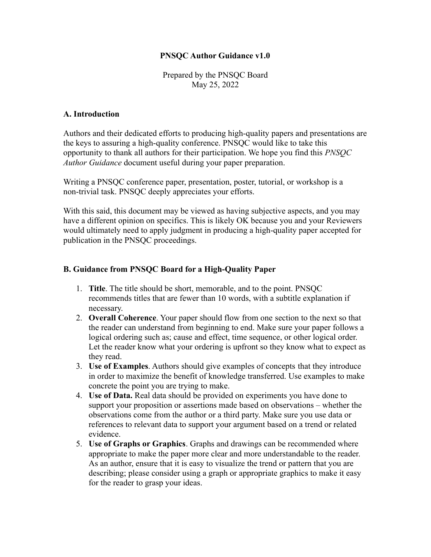## **PNSQC Author Guidance v1.0**

Prepared by the PNSQC Board May 25, 2022

## **A. Introduction**

Authors and their dedicated efforts to producing high-quality papers and presentations are the keys to assuring a high-quality conference. PNSQC would like to take this opportunity to thank all authors for their participation. We hope you find this *PNSQC Author Guidance* document useful during your paper preparation.

Writing a PNSQC conference paper, presentation, poster, tutorial, or workshop is a non-trivial task. PNSQC deeply appreciates your efforts.

With this said, this document may be viewed as having subjective aspects, and you may have a different opinion on specifics. This is likely OK because you and your Reviewers would ultimately need to apply judgment in producing a high-quality paper accepted for publication in the PNSQC proceedings.

## **B. Guidance from PNSQC Board for a High-Quality Paper**

- 1. **Title**. The title should be short, memorable, and to the point. PNSQC recommends titles that are fewer than 10 words, with a subtitle explanation if necessary.
- 2. **Overall Coherence**. Your paper should flow from one section to the next so that the reader can understand from beginning to end. Make sure your paper follows a logical ordering such as; cause and effect, time sequence, or other logical order. Let the reader know what your ordering is upfront so they know what to expect as they read.
- 3. **Use of Examples**. Authors should give examples of concepts that they introduce in order to maximize the benefit of knowledge transferred. Use examples to make concrete the point you are trying to make.
- 4. **Use of Data.** Real data should be provided on experiments you have done to support your proposition or assertions made based on observations – whether the observations come from the author or a third party. Make sure you use data or references to relevant data to support your argument based on a trend or related evidence.
- 5. **Use of Graphs or Graphics**. Graphs and drawings can be recommended where appropriate to make the paper more clear and more understandable to the reader. As an author, ensure that it is easy to visualize the trend or pattern that you are describing; please consider using a graph or appropriate graphics to make it easy for the reader to grasp your ideas.